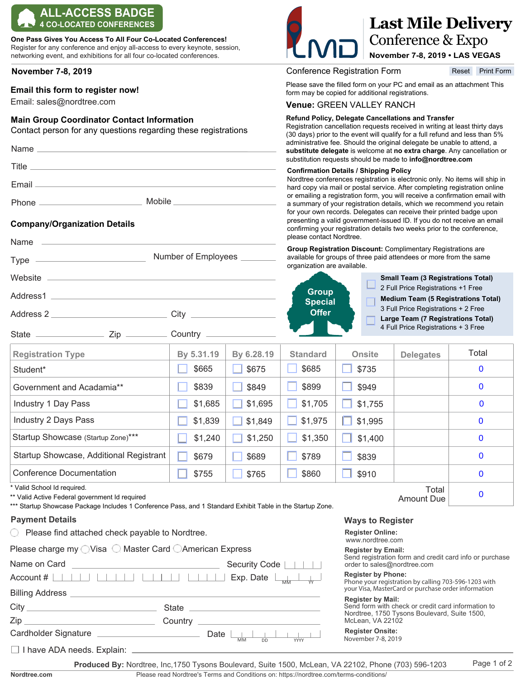# **ALL-ACCESS BADGE 4 CO-LOCATED CONFERENCES**

**One Pass Gives You Access To All Four Co-Located Conferences!** Register for any conference and enjoy all-access to every keynote, session, networking event, and exhibitions for all four co-located conferences.

# **November 7-8, 2019**

# **Email this form to register now!**

Email: sales@nordtree.com

### **Main Group Coordinator Contact Information**

Contact person for any questions regarding these registrations

| Email <u>______________________________</u> |                              |
|---------------------------------------------|------------------------------|
|                                             | Mobile _____________________ |
|                                             |                              |

 $City$ 

Lackson Country

Number of Employees

# **Company/Organization Details**

# **Last Mile Delivery** Conference & Expo

**November 7-8, 2019 • LAS VEGAS**

Conference Registration Form

Reset Print Form

Please save the filled form on your PC and email as an attachment This form may be copied for additional registrations.

#### **Venue:** GREEN VALLEY RANCH

#### **Refund Policy, Delegate Cancellations and Transfer**

Registration cancellation requests received in writing at least thirty days (30 days) prior to the event will qualify for a full refund and less than 5% administrative fee. Should the original delegate be unable to attend, a **substitute delegate** is welcome at **no extra charge**. Any cancellation or substitution requests should be made to **info@nordtree.com**

#### **Confirmation Details / Shipping Policy**

Nordtree conferences registration is electronic only. No items will ship in hard copy via mail or postal service. After completing registration online or emailing a registration form, you will receive a confirmation email with a summary of your registration details, which we recommend you retain for your own records. Delegates can receive their printed badge upon presenting a valid government-issued ID. If you do not receive an email confirming your registration details two weeks prior to the conference, please contact Nordtree.

**Group Registration Discount:** Complimentary Registrations are available for groups of three paid attendees or more from the same organization are available.



| <b>Registration Type</b>                | By 5.31.19 | By 6.28.19 | <b>Standard</b> | <b>Onsite</b> | <b>Delegates</b> | Total        |
|-----------------------------------------|------------|------------|-----------------|---------------|------------------|--------------|
| Student*                                | \$665      | \$675      | \$685           | \$735         |                  | $\bf{0}$     |
| Government and Acadamia**               | \$839      | \$849      | \$899           | \$949         |                  | $\bf{0}$     |
| Industry 1 Day Pass                     | \$1,685    | \$1,695    | \$1,705         | \$1,755       |                  | $\mathbf 0$  |
| Industry 2 Days Pass                    | \$1,839    | \$1,849    | \$1,975         | \$1,995       |                  | $\bf{0}$     |
| Startup Showcase (Startup Zone)***      | \$1,240    | \$1,250    | \$1,350         | \$1,400       |                  | $\mathbf{0}$ |
| Startup Showcase, Additional Registrant | \$679      | \$689      | \$789           | \$839         |                  | $\bf{0}$     |
| <b>Conference Documentation</b>         | \$755      | \$765      | \$860           | \$910         |                  | $\mathbf{0}$ |
| * Valid School Id required.<br>Total    |            |            |                 |               |                  |              |

\* Valid School Id required.

State  $-$ 

Name

Type  $-$ 

Website  $-$ 

Address1

Address 2

\*\* Valid Active Federal government Id required

\*\*\* Startup Showcase Package Includes 1 Conference Pass, and 1 Standard Exhibit Table in the Startup Zone.

#### **Payment Details**

 $\bigcirc$  Please find attached check payable to Nordtree.

 $\overline{\phantom{a}}$   $\overline{\phantom{a}}$   $\overline{\phantom{a}}$   $\overline{\phantom{a}}$   $\overline{\phantom{a}}$   $\overline{\phantom{a}}$   $\overline{\phantom{a}}$   $\overline{\phantom{a}}$   $\overline{\phantom{a}}$   $\overline{\phantom{a}}$   $\overline{\phantom{a}}$   $\overline{\phantom{a}}$   $\overline{\phantom{a}}$   $\overline{\phantom{a}}$   $\overline{\phantom{a}}$   $\overline{\phantom{a}}$   $\overline{\phantom{a}}$   $\overline{\phantom{a}}$   $\overline{\$ 

|  |  |  | Please charge my ○ Visa ○ Master Card ○ American Express |
|--|--|--|----------------------------------------------------------|
|--|--|--|----------------------------------------------------------|

| Name on Card                                                                         |         |      |           | Security Code           |             |  |
|--------------------------------------------------------------------------------------|---------|------|-----------|-------------------------|-------------|--|
| $Account # \mid \mid \cdot \mid$                                                     |         |      |           | Exp. Date $\frac{1}{M}$ |             |  |
| <b>Billing Address</b>                                                               |         |      |           |                         |             |  |
|                                                                                      |         |      |           |                         |             |  |
| $Zip_$<br>the control of the control of the control of the control of the control of | Country |      |           |                         |             |  |
| Cardholder Signature                                                                 |         | Date | <b>MM</b> | .<br><b>DD</b>          | <b>YYYY</b> |  |
| □ I have ADA needs. Explain: <u>____________________________</u>                     |         |      |           |                         |             |  |

#### **Ways to Register**

**Register Online:** 

www.nordtree.com

### **Register by Email:**

Send registration form and credit card info or purchase order to sales@nordtree.com

Amount Due

#### **Register by Phone:**

Phone your registration by calling 703-596-1203 with your Visa, MasterCard or purchase order information

#### **Register by Mail:**

Send form with check or credit card information to Nordtree, 1750 Tysons Boulevard, Suite 1500, McLean, VA 22102

Page 1 of 2

 $\Omega$ 

#### **Register Onsite:**

November 7-8, 2019

**Nordtree.com**

Please read Nordtree's Terms and Conditions on: https://nordtree.com/terms-conditions/ **Produced By:** Nordtree, Inc,1750 Tysons Boulevard, Suite 1500, McLean, VA 22102, Phone (703) 596-1203